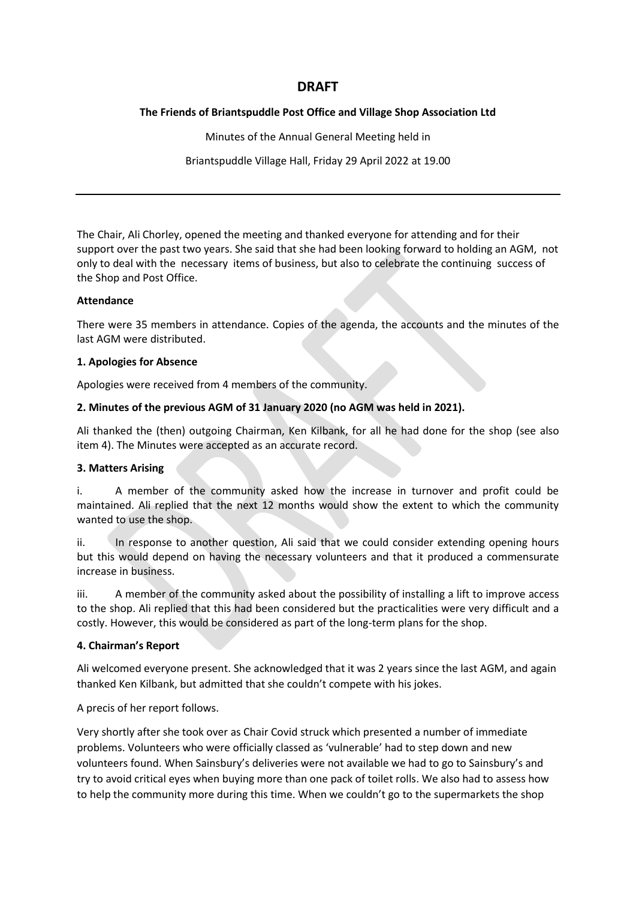# **DRAFT**

### **The Friends of Briantspuddle Post Office and Village Shop Association Ltd**

Minutes of the Annual General Meeting held in

Briantspuddle Village Hall, Friday 29 April 2022 at 19.00

The Chair, Ali Chorley, opened the meeting and thanked everyone for attending and for their support over the past two years. She said that she had been looking forward to holding an AGM, not only to deal with the necessary items of business, but also to celebrate the continuing success of the Shop and Post Office.

### **Attendance**

There were 35 members in attendance. Copies of the agenda, the accounts and the minutes of the last AGM were distributed.

#### **1. Apologies for Absence**

Apologies were received from 4 members of the community.

### **2. Minutes of the previous AGM of 31 January 2020 (no AGM was held in 2021).**

Ali thanked the (then) outgoing Chairman, Ken Kilbank, for all he had done for the shop (see also item 4). The Minutes were accepted as an accurate record.

### **3. Matters Arising**

i. A member of the community asked how the increase in turnover and profit could be maintained. Ali replied that the next 12 months would show the extent to which the community wanted to use the shop.

ii. In response to another question, Ali said that we could consider extending opening hours but this would depend on having the necessary volunteers and that it produced a commensurate increase in business.

iii. A member of the community asked about the possibility of installing a lift to improve access to the shop. Ali replied that this had been considered but the practicalities were very difficult and a costly. However, this would be considered as part of the long-term plans for the shop.

### **4. Chairman's Report**

Ali welcomed everyone present. She acknowledged that it was 2 years since the last AGM, and again thanked Ken Kilbank, but admitted that she couldn't compete with his jokes.

A precis of her report follows.

Very shortly after she took over as Chair Covid struck which presented a number of immediate problems. Volunteers who were officially classed as 'vulnerable' had to step down and new volunteers found. When Sainsbury's deliveries were not available we had to go to Sainsbury's and try to avoid critical eyes when buying more than one pack of toilet rolls. We also had to assess how to help the community more during this time. When we couldn't go to the supermarkets the shop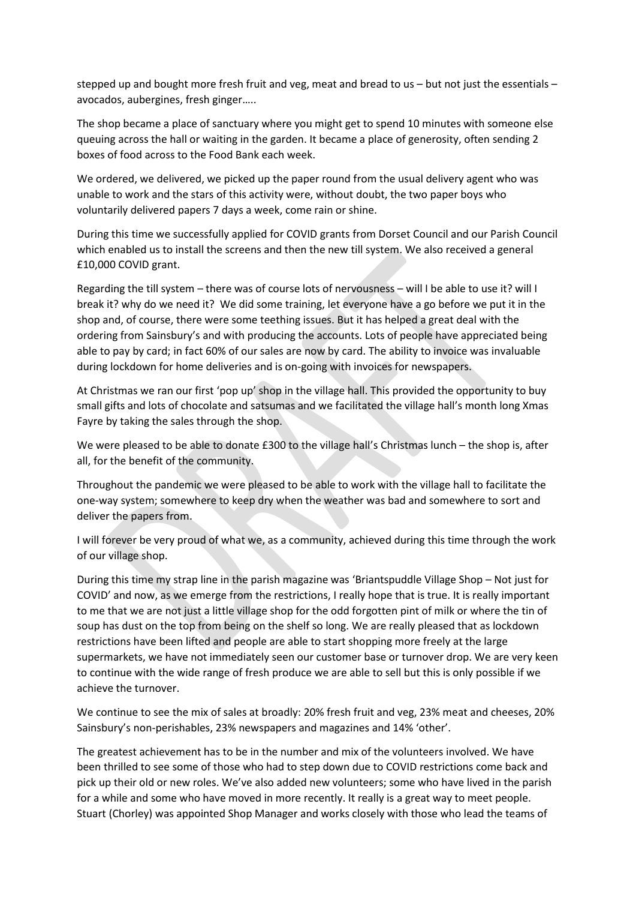stepped up and bought more fresh fruit and veg, meat and bread to us – but not just the essentials – avocados, aubergines, fresh ginger…..

The shop became a place of sanctuary where you might get to spend 10 minutes with someone else queuing across the hall or waiting in the garden. It became a place of generosity, often sending 2 boxes of food across to the Food Bank each week.

We ordered, we delivered, we picked up the paper round from the usual delivery agent who was unable to work and the stars of this activity were, without doubt, the two paper boys who voluntarily delivered papers 7 days a week, come rain or shine.

During this time we successfully applied for COVID grants from Dorset Council and our Parish Council which enabled us to install the screens and then the new till system. We also received a general £10,000 COVID grant.

Regarding the till system – there was of course lots of nervousness – will I be able to use it? will I break it? why do we need it? We did some training, let everyone have a go before we put it in the shop and, of course, there were some teething issues. But it has helped a great deal with the ordering from Sainsbury's and with producing the accounts. Lots of people have appreciated being able to pay by card; in fact 60% of our sales are now by card. The ability to invoice was invaluable during lockdown for home deliveries and is on-going with invoices for newspapers.

At Christmas we ran our first 'pop up' shop in the village hall. This provided the opportunity to buy small gifts and lots of chocolate and satsumas and we facilitated the village hall's month long Xmas Fayre by taking the sales through the shop.

We were pleased to be able to donate £300 to the village hall's Christmas lunch – the shop is, after all, for the benefit of the community.

Throughout the pandemic we were pleased to be able to work with the village hall to facilitate the one-way system; somewhere to keep dry when the weather was bad and somewhere to sort and deliver the papers from.

I will forever be very proud of what we, as a community, achieved during this time through the work of our village shop.

During this time my strap line in the parish magazine was 'Briantspuddle Village Shop – Not just for COVID' and now, as we emerge from the restrictions, I really hope that is true. It is really important to me that we are not just a little village shop for the odd forgotten pint of milk or where the tin of soup has dust on the top from being on the shelf so long. We are really pleased that as lockdown restrictions have been lifted and people are able to start shopping more freely at the large supermarkets, we have not immediately seen our customer base or turnover drop. We are very keen to continue with the wide range of fresh produce we are able to sell but this is only possible if we achieve the turnover.

We continue to see the mix of sales at broadly: 20% fresh fruit and veg, 23% meat and cheeses, 20% Sainsbury's non-perishables, 23% newspapers and magazines and 14% 'other'.

The greatest achievement has to be in the number and mix of the volunteers involved. We have been thrilled to see some of those who had to step down due to COVID restrictions come back and pick up their old or new roles. We've also added new volunteers; some who have lived in the parish for a while and some who have moved in more recently. It really is a great way to meet people. Stuart (Chorley) was appointed Shop Manager and works closely with those who lead the teams of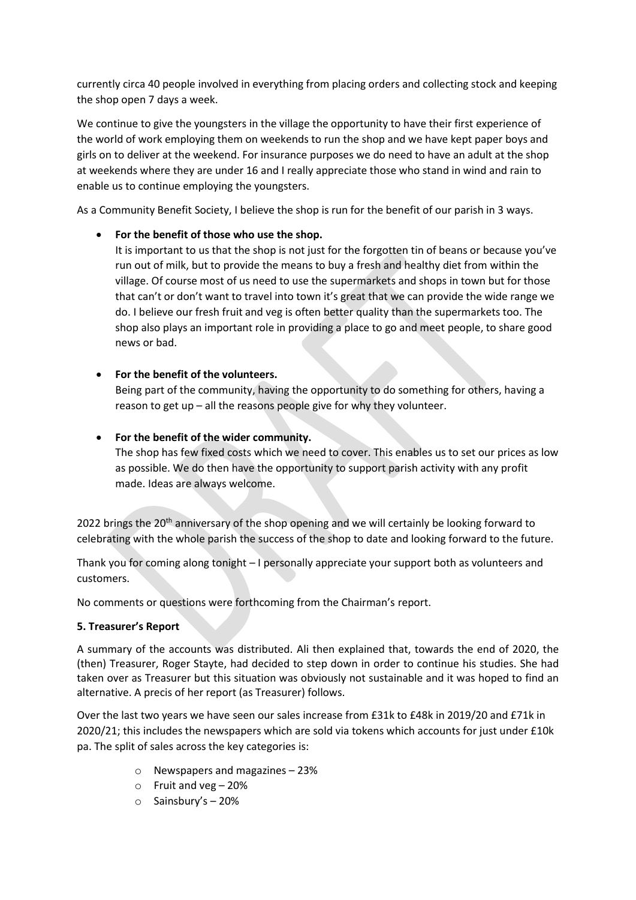currently circa 40 people involved in everything from placing orders and collecting stock and keeping the shop open 7 days a week.

We continue to give the youngsters in the village the opportunity to have their first experience of the world of work employing them on weekends to run the shop and we have kept paper boys and girls on to deliver at the weekend. For insurance purposes we do need to have an adult at the shop at weekends where they are under 16 and I really appreciate those who stand in wind and rain to enable us to continue employing the youngsters.

As a Community Benefit Society, I believe the shop is run for the benefit of our parish in 3 ways.

## • **For the benefit of those who use the shop.**

It is important to us that the shop is not just for the forgotten tin of beans or because you've run out of milk, but to provide the means to buy a fresh and healthy diet from within the village. Of course most of us need to use the supermarkets and shops in town but for those that can't or don't want to travel into town it's great that we can provide the wide range we do. I believe our fresh fruit and veg is often better quality than the supermarkets too. The shop also plays an important role in providing a place to go and meet people, to share good news or bad.

## • **For the benefit of the volunteers.**

Being part of the community, having the opportunity to do something for others, having a reason to get up – all the reasons people give for why they volunteer.

### • **For the benefit of the wider community.**

The shop has few fixed costs which we need to cover. This enables us to set our prices as low as possible. We do then have the opportunity to support parish activity with any profit made. Ideas are always welcome.

2022 brings the 20<sup>th</sup> anniversary of the shop opening and we will certainly be looking forward to celebrating with the whole parish the success of the shop to date and looking forward to the future.

Thank you for coming along tonight – I personally appreciate your support both as volunteers and customers.

No comments or questions were forthcoming from the Chairman's report.

### **5. Treasurer's Report**

A summary of the accounts was distributed. Ali then explained that, towards the end of 2020, the (then) Treasurer, Roger Stayte, had decided to step down in order to continue his studies. She had taken over as Treasurer but this situation was obviously not sustainable and it was hoped to find an alternative. A precis of her report (as Treasurer) follows.

Over the last two years we have seen our sales increase from £31k to £48k in 2019/20 and £71k in 2020/21; this includes the newspapers which are sold via tokens which accounts for just under £10k pa. The split of sales across the key categories is:

- o Newspapers and magazines 23%
- o Fruit and veg 20%
- o Sainsbury's 20%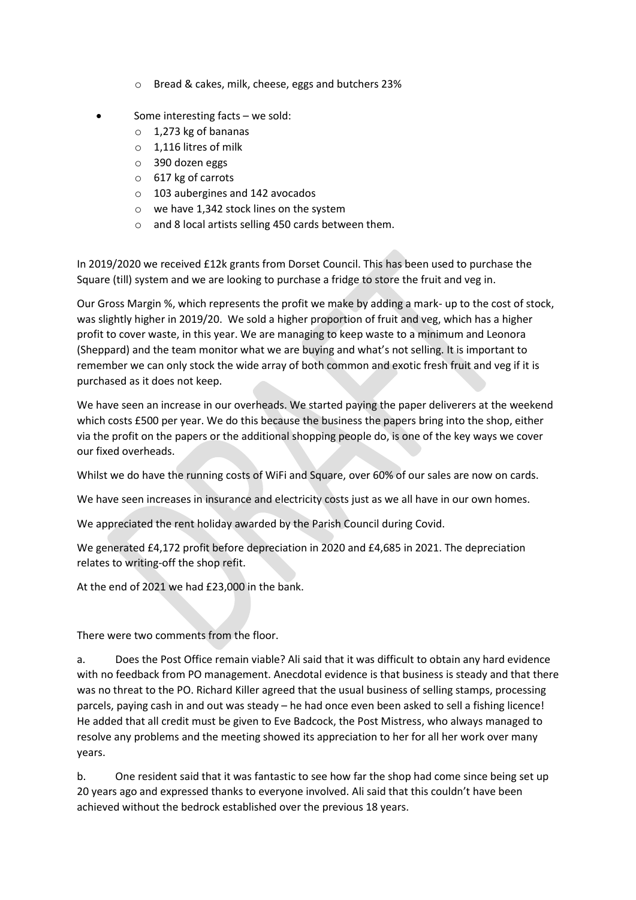- o Bread & cakes, milk, cheese, eggs and butchers 23%
- Some interesting facts  $-$  we sold:
	- $\circ$  1,273 kg of bananas
	- o 1,116 litres of milk
	- o 390 dozen eggs
	- o 617 kg of carrots
	- o 103 aubergines and 142 avocados
	- o we have 1,342 stock lines on the system
	- o and 8 local artists selling 450 cards between them.

In 2019/2020 we received £12k grants from Dorset Council. This has been used to purchase the Square (till) system and we are looking to purchase a fridge to store the fruit and veg in.

Our Gross Margin %, which represents the profit we make by adding a mark- up to the cost of stock, was slightly higher in 2019/20. We sold a higher proportion of fruit and veg, which has a higher profit to cover waste, in this year. We are managing to keep waste to a minimum and Leonora (Sheppard) and the team monitor what we are buying and what's not selling. It is important to remember we can only stock the wide array of both common and exotic fresh fruit and veg if it is purchased as it does not keep.

We have seen an increase in our overheads. We started paying the paper deliverers at the weekend which costs £500 per year. We do this because the business the papers bring into the shop, either via the profit on the papers or the additional shopping people do, is one of the key ways we cover our fixed overheads.

Whilst we do have the running costs of WiFi and Square, over 60% of our sales are now on cards.

We have seen increases in insurance and electricity costs just as we all have in our own homes.

We appreciated the rent holiday awarded by the Parish Council during Covid.

We generated £4,172 profit before depreciation in 2020 and £4,685 in 2021. The depreciation relates to writing-off the shop refit.

At the end of 2021 we had £23,000 in the bank.

There were two comments from the floor.

a. Does the Post Office remain viable? Ali said that it was difficult to obtain any hard evidence with no feedback from PO management. Anecdotal evidence is that business is steady and that there was no threat to the PO. Richard Killer agreed that the usual business of selling stamps, processing parcels, paying cash in and out was steady – he had once even been asked to sell a fishing licence! He added that all credit must be given to Eve Badcock, the Post Mistress, who always managed to resolve any problems and the meeting showed its appreciation to her for all her work over many years.

b. One resident said that it was fantastic to see how far the shop had come since being set up 20 years ago and expressed thanks to everyone involved. Ali said that this couldn't have been achieved without the bedrock established over the previous 18 years.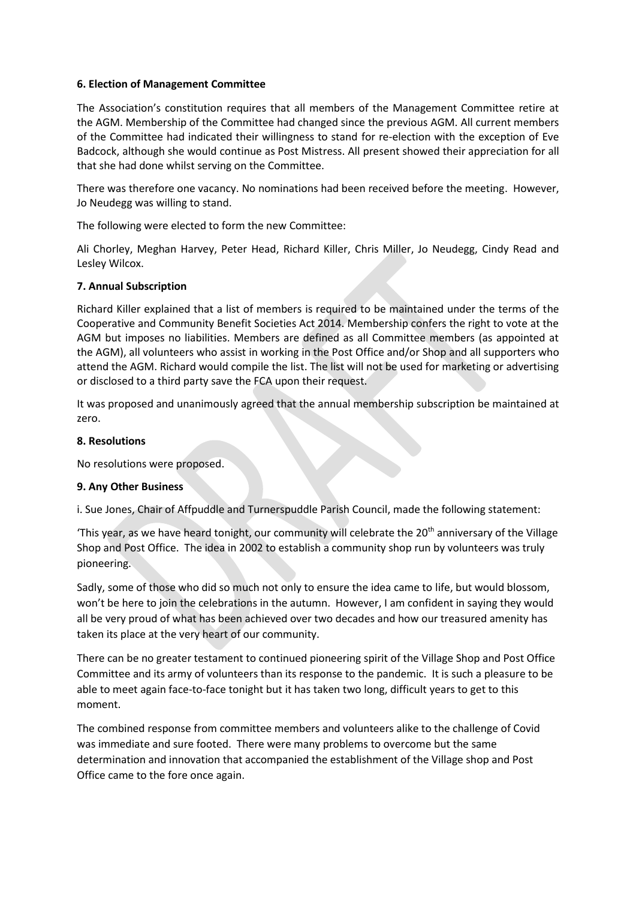#### **6. Election of Management Committee**

The Association's constitution requires that all members of the Management Committee retire at the AGM. Membership of the Committee had changed since the previous AGM. All current members of the Committee had indicated their willingness to stand for re-election with the exception of Eve Badcock, although she would continue as Post Mistress. All present showed their appreciation for all that she had done whilst serving on the Committee.

There was therefore one vacancy. No nominations had been received before the meeting. However, Jo Neudegg was willing to stand.

The following were elected to form the new Committee:

Ali Chorley, Meghan Harvey, Peter Head, Richard Killer, Chris Miller, Jo Neudegg, Cindy Read and Lesley Wilcox.

#### **7. Annual Subscription**

Richard Killer explained that a list of members is required to be maintained under the terms of the Cooperative and Community Benefit Societies Act 2014. Membership confers the right to vote at the AGM but imposes no liabilities. Members are defined as all Committee members (as appointed at the AGM), all volunteers who assist in working in the Post Office and/or Shop and all supporters who attend the AGM. Richard would compile the list. The list will not be used for marketing or advertising or disclosed to a third party save the FCA upon their request.

It was proposed and unanimously agreed that the annual membership subscription be maintained at zero.

#### **8. Resolutions**

No resolutions were proposed.

#### **9. Any Other Business**

i. Sue Jones, Chair of Affpuddle and Turnerspuddle Parish Council, made the following statement:

'This year, as we have heard tonight, our community will celebrate the 20<sup>th</sup> anniversary of the Village Shop and Post Office. The idea in 2002 to establish a community shop run by volunteers was truly pioneering.

Sadly, some of those who did so much not only to ensure the idea came to life, but would blossom, won't be here to join the celebrations in the autumn. However, I am confident in saying they would all be very proud of what has been achieved over two decades and how our treasured amenity has taken its place at the very heart of our community.

There can be no greater testament to continued pioneering spirit of the Village Shop and Post Office Committee and its army of volunteers than its response to the pandemic. It is such a pleasure to be able to meet again face-to-face tonight but it has taken two long, difficult years to get to this moment.

The combined response from committee members and volunteers alike to the challenge of Covid was immediate and sure footed. There were many problems to overcome but the same determination and innovation that accompanied the establishment of the Village shop and Post Office came to the fore once again.